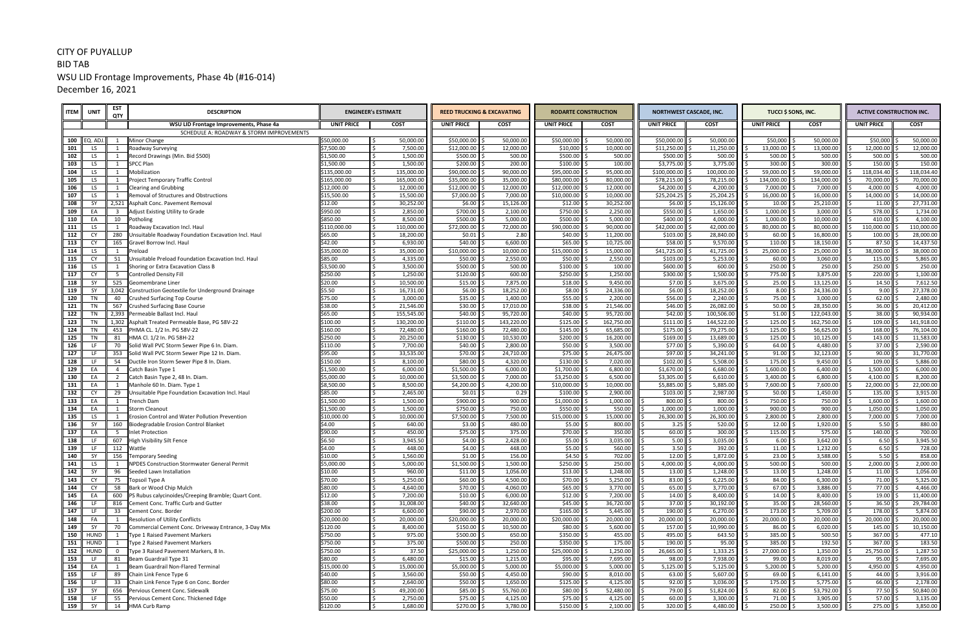## CITY OF PUYALLUP BID TAB WSU LID Frontage Improvements, Phase 4b (#16-014) December 16, 2021

| <b>ITEM</b> | UNIT        | <b>EST</b><br>QTY                | <b>DESCRIPTION</b>                                                       |                     | <b>ENGINEER's ESTIMATE</b> |                       | <b>REED TRUCKING &amp; EXCAVATING</b> |                     | <b>RODARTE CONSTRUCTION</b> |                         | <b>NORTHWEST CASCADE, INC.</b> | TUCCI \$ SONS, INC.       |                       | <b>ACTIVE CONSTRUCTION INC.</b> |                       |  |
|-------------|-------------|----------------------------------|--------------------------------------------------------------------------|---------------------|----------------------------|-----------------------|---------------------------------------|---------------------|-----------------------------|-------------------------|--------------------------------|---------------------------|-----------------------|---------------------------------|-----------------------|--|
|             |             |                                  | WSU LID Frontage Improvements, Phase 4a                                  | <b>UNIT PRICE</b>   | <b>COST</b>                | <b>UNIT PRICE</b>     | <b>COST</b>                           | <b>UNIT PRICE</b>   | <b>COST</b>                 | <b>UNIT PRICE</b>       | <b>COST</b>                    | <b>UNIT PRICE</b>         | <b>COST</b>           | <b>UNIT PRICE</b>               | <b>COST</b>           |  |
|             |             |                                  | SCHEDULE A: ROADWAY & STORM IMPROVEMENTS                                 |                     |                            |                       |                                       |                     |                             |                         |                                |                           |                       |                                 |                       |  |
| 100         | EQ. ADJ.    | 1                                | <b>Minor Change</b>                                                      | \$50,000.00         | 50,000.00                  | \$50,000.00           | 50,000.00                             | \$50,000.00         | 50,000.00                   | \$50,000.00             | 50,000.00                      | \$50,000                  | 50,000.00             | \$50,000                        | 50,000.00             |  |
| 101         | LS.         | 1                                | Roadway Surveying                                                        | \$7,500.00          | 7,500.00                   | \$12,000.00           | 12,000.00                             | \$10,000            | 10,000.00                   | \$11,250.00             | 11,250.00                      | 13,000.00                 | 13,000.00             | 12,000.00                       | 12,000.00             |  |
| 102         | LS.         | <sup>1</sup>                     | Record Drawings (Min. Bid \$500)                                         | 1,500.00            | 1,500.00                   | \$500.00              | 500.00                                | \$500.00            | 500.00                      | \$500.00                | 500.00                         | 500.00                    | 500.00                | 500.00                          | 500.00                |  |
| 103         | LS          | $\mathbf{1}$                     | <b>SPCC Plan</b>                                                         | 1,500.00            | 1,500.00                   | \$200.00              | 200.00                                | \$100.00            | 100.00                      | \$3,775.00              | 3,775.00                       | 300.00                    | 300.00                | 150.00                          | 150.00                |  |
| 104         | LS          | 1                                | Mobilization                                                             | 135,000.00          | 135,000.00                 | \$90,000.00           | 90,000.00                             | \$95,000.00         | 95,000.00                   | \$100,000.00            | 100,000.00                     | 59,000.00                 | 59,000.00             | 118,034.40                      | 118,034.40            |  |
| 105         | LS.         | $\mathbf{1}$                     | Project Temporary Traffic Control                                        | \$165,000.00        | 165,000.00                 | \$35,000.00           | 35,000.00                             | \$80,000.00         | 80,000.00                   | \$78,215.00             | 78,215.00                      | 134,000.00                | 134,000.00            | 70,000.00                       | 70,000.00             |  |
| 106         | LS          | 1                                | <b>Clearing and Grubbing</b>                                             | \$12,000.00         | 12,000.00                  | \$12,000.00           | 12,000.00                             | \$12,000.00         | 12,000.00                   | \$4,200.00              | 4,200.00                       | 7,000.00                  | 7,000.00              | 4,000.00                        | 4,000.00              |  |
| 107         | LS          | 1                                | Removal of Structures and Obstructions                                   | \$15,500.00         | 15,500.00                  | \$7,000.00            | 7,000.00                              | \$10,000.00         | 10,000.00                   | \$25,204.25             | 25,204.25                      | 16,000.00 \$              | 16,000.00             | 14,000.00                       | 14,000.00             |  |
| 108<br>109  | - SY<br>EA  | 2,521<br>$\overline{\mathbf{3}}$ | Asphalt Conc. Pavement Removal<br>Adjust Existing Utility to Grade       | \$12.00<br>\$950.00 | 30,252.00<br>2,850.00      | \$6.00<br>\$700.00    | 15,126.00<br>2,100.00                 | \$12.00<br>\$750.00 | 30,252.00<br>2,250.00       | \$6.00<br>\$550.00      | 15,126.00<br>1,650.00          | $10.00$ \$<br>1,000.00 \$ | 25,210.00<br>3,000.00 | 11.00<br>578.00                 | 27,731.00<br>1,734.00 |  |
| 110         | EA          | 10                               | Potholing                                                                | \$850.00            | 8,500.00                   | \$500.00              | 5,000.00                              | \$500.00            | 5,000.00                    | \$400.00                | 4,000.00                       | $1,000.00$ \$             | 10,000.00             | 410.00                          | 4,100.00              |  |
| 111         | LS          | 1                                | Roadway Excavation Incl. Haul                                            | \$110,000.00        | 110,000.00                 | \$72,000.00           | 72,000.00                             | \$90,000.00         | 90,000.00                   | \$42,000.00             | 42,000.00                      | 80,000.00                 | 80,000.00             | 110,000.00                      | 110,000.00            |  |
| 112         | CY          | 280                              | Unsuitable Roadway Foundation Excavation Incl. Haul                      | \$65.00             | 18,200.00                  | \$0.01                | 2.80                                  | \$40.00             | 11,200.00                   | \$103.00                | 28,840.00                      | 60.00                     | 16,800.00             | 100.00                          | 28,000.00             |  |
| 113         | CY          | 165                              | Gravel Borrow Incl. Haul                                                 | \$42.00             | l \$<br>6,930.00           | \$40.00               | 6,600.00                              | \$65.00             | 10,725.00                   | $$58.00$ $$$            | 9,570.00                       | $110.00$ \$               | 18,150.00             | 87.50                           | 14,437.50             |  |
| 114         | LS          | 1                                | Preload                                                                  | \$35,000.00         | 35,000.00                  | \$10,000.00           | 10,000.00                             | \$15,000.00         | 15,000.00                   | \$41,725.00             | 41,725.00                      | 25,000.00 \$              | 25,000.00             | 38,000.00                       | 38,000.00             |  |
| 115         | CY          | 51                               | Unsuitable Preload Foundation Excavation Incl. Haul                      | \$85.00             | ١ś<br>4,335.00             | \$50.00               | 2,550.00                              | \$50.00             | 2,550.00                    | \$103.00                | 5,253.00                       | $60.00$ \$                | 3,060.00              | 115.00                          | 5,865.00              |  |
| 116         | LS          | 1                                | Shoring or Extra Excavation Class B                                      | \$3,500.00          | 3,500.00                   | $$500.00$ \$          | 500.00                                | \$100.00            | 100.00                      | \$600.00                | 600.00                         | $250.00$ \$               | 250.00                | 250.00                          | 250.00                |  |
| 117         | CY          | $5^{\circ}$                      | <b>Controlled Density Fill</b>                                           | \$250.00            | 1,250.00                   | \$120.00              | 600.00                                | \$250.00            | 1,250.00                    | \$300.00                | 1,500.00                       | 775.00 \$                 | 3,875.00              | 220.00                          | 1,100.00              |  |
| 118         | SY          | 525                              | Geomembrane Liner                                                        | \$20.00             | 10,500.00                  | \$15.00               | 7,875.00                              | \$18.00             | 9,450.00                    | $$7.00$ \;              | 3,675.00                       | $25.00$ \$                | 13,125.00             | 14.50                           | 7,612.50              |  |
| 119         | SY          |                                  | 3,042 Construction Geotextile for Underground Drainage                   | \$5.50              | 16,731.00                  | \$6.00                | 18,252.00                             | \$8.00              | 24,336.00                   | \$6.00                  | 18,252.00                      | $8.00$ \$                 | 24,336.00             | 9.00                            | 27,378.00             |  |
| 120         | TN          | 40                               | <b>Crushed Surfacing Top Course</b>                                      | \$75.00             | 3,000.00                   | \$35.00               | 1,400.00                              | \$55.00             | 2,200.00                    | \$56.00                 | 2,240.00                       | 75.00 \$                  | 3,000.00              | 62.00                           | 2,480.00              |  |
| 121         | <b>TN</b>   | 567                              | <b>Crushed Surfacing Base Course</b>                                     | \$38.00             | 21,546.00                  | \$30.00               | 17,010.00                             | \$38.00             | 21,546.00                   | \$46.00                 | 26,082.00                      | $50.00$ \$                | 28,350.00             | 36.00                           | 20,412.00             |  |
| 122         | TN          | 2,393                            | Permeable Ballast Incl. Haul                                             | \$65.00             | 155,545.00<br>I\$          | \$40.00               | 95,720.00                             | \$40.00             | 95,720.00                   | \$42.00                 | 100,506.00                     | $51.00$ \$                | 122,043.00            | 38.00                           | 90,934.00             |  |
| 123         | TN          |                                  | 1,302 Asphalt Treated Permeable Base, PG 58V-22                          | \$100.00            | 130,200.00                 | \$110.00              | 143,220.00                            | \$125.00            | 162,750.00                  | \$111.00                | 144,522.00                     | $125.00$ \$               | 162,750.00            | 109.00                          | 141,918.00            |  |
| 124         | <b>TN</b>   | 453                              | PHMA CL. 1/2 In. PG 58V-22                                               | \$160.00            | l \$<br>72,480.00          | \$160.00              | 72,480.00                             | \$145.00            | 65,685.00                   | \$175.00                | 79,275.00                      | 125.00                    | 56,625.00             | 168.00                          | 76,104.00             |  |
| 125         | TN          | 81                               | HMA Cl. 1/2 In. PG 58H-22                                                | \$250.00            | 20,250.00                  | \$130.00              | 10,530.00                             | \$200.00            | 16,200.00                   | \$169.00                | 13,689.00                      | $125.00$ \$               | 10,125.00             | 143.00                          | 11,583.00             |  |
| 126         | LF.         | 70                               | Solid Wall PVC Storm Sewer Pipe 6 In. Diam                               | \$110.00            | 7,700.00                   | \$40.00               | 2,800.00                              | \$50.00             | 3,500.00                    | \$77.00                 | 5,390.00                       | $64.00$ \$                | 4,480.00              | 37.00                           | 2,590.00              |  |
| 127         | LF.         | 353                              | Solid Wall PVC Storm Sewer Pipe 12 In. Diam.                             | \$95.00             | 33,535.00                  | \$70.00               | 24,710.00                             | \$75.00             | 26,475.00                   | \$97.00                 | 34,241.00                      | $91.00$ $\mid$ \$         | 32,123.00             | 90.00                           | 31,770.00             |  |
| 128         | -LF         | 54                               | Ductile Iron Storm Sewer Pipe 8 In. Diam.                                | \$150.00            | 8,100.00                   | \$80.00               | 4,320.00                              | \$130.00            | 7,020.00                    | \$102.00                | 5,508.00                       | 175.00 \$                 | 9,450.00              | 109.00                          | 5,886.00              |  |
| 129         | EA          | $\overline{4}$                   | Catch Basin Type 1                                                       | \$1,500.00          | 6,000.00                   | \$1,500.00            | 6,000.00                              | \$1,700.00          | 6,800.00                    | \$1,670.00              | 6,680.00                       | $1,600.00$ \$             | 6,400.00              | 1,500.00                        | 6,000.00              |  |
| 130         | EA          | $\overline{2}$                   | Catch Basin Type 2, 48 In. Diam.                                         | \$5,000.00          | l \$<br>10,000.00          | \$3,500.00            | 7,000.00                              | \$3,250.00          | 6,500.00                    | \$3,305.00              | 6,610.00                       | $3,400.00$ \$             | 6,800.00              | 4,100.00                        | 8,200.00              |  |
| 131         | EA          | $\mathbf{1}$                     | Manhole 60 In. Diam. Type 1                                              | \$8,500.00          | 8,500.00                   | \$4,200.00            | 4,200.00                              | \$10,000.00         | 10,000.00                   | \$5,885.00              | 5,885.00                       | 7,600.00 \$               | 7,600.00              | 22,000.00                       | 22,000.00             |  |
| 132         | CY          | 29                               | Unsuitable Pipe Foundation Excavation Incl. Haul                         | \$85.00             | 2,465.00                   | $$0.01$ $$$           | 0.29                                  | \$100.00            | 2,900.00                    | \$103.00                | 2,987.00                       | $50.00$ $\frac{1}{5}$     | 1,450.00              | 135.00                          | 3,915.00              |  |
| 133         | EA          | 1                                | <b>Trench Dam</b>                                                        | \$1,500.00          | 1,500.00<br>l \$           | \$900.00              | 900.00                                | \$1,000.00          | 1,000.00                    | 800.00                  | 800.00                         | 750.00                    | 750.00                | 1,600.00                        | 1,600.00              |  |
| 134         | EA          | $\overline{1}$                   | <b>Storm Cleanout</b>                                                    | 1,500.00            | 1,500.00                   | \$750.00              | 750.00                                | \$550.00            | 550.00                      | 1,000.00                | 1,000.00                       | 900.00                    | 900.00                | 1,050.00                        | 1,050.00              |  |
| 135         | LS          | $\mathbf{1}$                     | Erosion Control and Water Pollution Prevention                           | \$10,000.00         | 10,000.00                  | \$7,500.00            | 7,500.00                              | \$15,000.00         | 15,000.00                   | 26,300.00               | 26,300.00                      | $2,800.00$ \$             | 2,800.00              | 7,000.00                        | 7,000.00              |  |
| 136         | SY          | 160                              | Biodegradable Erosion Control Blanket                                    | \$4.00              | 640.00                     | $$3.00$ $$$           | 480.00                                | \$5.00              | 800.00                      | $3.25$ \$               | 520.00                         | $12.00$ \$                | 1,920.00              | 5.50                            | 880.00                |  |
| 137         | EA          | 5                                | <b>Inlet Protection</b>                                                  | \$90.00<br>\$6.50   | 450.00<br>3,945.50         | $$75.00$ \$<br>\$4.00 | 375.00                                | \$70.00<br>\$5.00   | 350.00<br>3,035.00          | $60.00$ \$<br>$5.00$ \$ | 300.00<br>3,035.00             | $115.00$ \$<br>$6.00$ \$  | 575.00<br>3,642.00    | 140.00<br>6.50                  | 700.00<br>3,945.50    |  |
| 138<br>139  | LF.         | 607<br>112                       | High Visibility Silt Fence<br>Wattle                                     | \$4.00              | 448.00                     | $$4.00$ $$$           | 2,428.00<br>448.00                    | \$5.00              | 560.00                      | $3.50$ \$               | 392.00                         | $11.00$ \$                | 1,232.00              | 6.50                            | 728.00                |  |
| 140         | SY          | 156                              |                                                                          | \$10.00             | 1,560.00                   | $$1.00$ \$            | 156.00                                | $$4.50$ \$          | 702.00                      | $12.00$ \$              | 1,872.00                       | $23.00$ \$                | 3,588.00              | $5.50$ \$                       | 858.00                |  |
| 141         | LS          |                                  | <b>Temporary Seeding</b><br>NPDES Construction Stormwater General Permit | \$5,000.00          | 5,000.00                   | $$1,500.00$ \$        | 1,500.00                              | $$250.00$ \$        | 250.00                      | 4,000.00                | 4,000.00                       | $500.00$ \$               | 500.00                | 2,000.00                        | 2,000.00              |  |
| 142         | SY          | 96                               | Seeded Lawn Installation                                                 | \$10.00             | 960.00                     | $$11.00$ \$           | 1,056.00                              | \$13.00             | 1,248.00                    | $13.00$ \$              | 1,248.00                       | $13.00$ \$                | 1,248.00              | 11.00                           | 1,056.00              |  |
| 143         | CY          | 75                               | Topsoil Type A                                                           | \$70.00             | 5,250.00                   | $$60.00$ \$           | 4,500.00                              | \$70.00             | 5,250.00                    | $83.00$ \$              | 6,225.00                       | $84.00$ \$                | 6,300.00              | 71.00                           | 5,325.00              |  |
| 144         | <b>CY</b>   | 58                               | Bark or Wood Chip Mulch                                                  | \$80.00             | l \$<br>4,640.00           | $$70.00$ \$           | 4,060.00                              | \$65.00             | 3,770.00                    | $65.00$ \$              | 3,770.00                       | $67.00$ \$                | 3,886.00              | 77.00                           | 4,466.00              |  |
| 145         | EA          | 600                              | PS Rubus calycinoides/Creeping Bramble; Quart Cont.                      | \$12.00             | 7,200.00                   | $$10.00$ $$$          | 6,000.00                              | \$12.00             | 7,200.00                    | $14.00$ \$              | 8,400.00                       | $14.00$ \$                | 8,400.00              | 19.00                           | 11,400.00             |  |
| 146         | LF.         | 816                              | Cement Conc. Traffic Curb and Gutter                                     | \$38.00             | 31,008.00                  | $$40.00$ \$           | 32,640.00                             | \$45.00             | 36,720.00                   | $37.00$ \$              | 30,192.00                      | $35.00$ \$                | 28,560.00             | 36.50                           | 29,784.00             |  |
| 147         | LF.         | 33                               | Cement Conc. Border                                                      | \$200.00            | ۱Ś<br>6,600.00             | $$90.00$ $$$          | 2,970.00                              | \$165.00            | 5,445.00                    | $190.00$ $\mid$         | 6,270.00                       | $173.00$ \$               | 5,709.00              | 178.00                          | 5,874.00              |  |
| 148         | FA          | 1                                | Resolution of Utility Conflicts                                          | \$20,000.00         | 20,000.00                  | $\frac{1}{20,000.00}$ | 20,000.00                             | \$20,000.00         | 20,000.00                   | 20,000.00               | 20,000.00                      | 20,000.00 \$              | 20,000.00             | 20,000.00                       | 20,000.00             |  |
| 149         | SY          | 70                               | Commercial Cement Conc. Driveway Entrance, 3-Day Mix                     | \$120.00            | 8,400.00                   | $$150.00$ \$          | 10,500.00                             | \$80.00             | 5,600.00                    | 157.00 \$               | 10,990.00                      | $86.00$ \$                | 6,020.00              | 145.00                          | 10,150.00             |  |
| 150         | <b>HUND</b> | 1                                | Type 1 Raised Pavement Markers                                           | \$750.00            | l\$<br>975.00              | $$500.00$ \$          | 650.00                                | \$350.00            | 455.00                      | 495.00 \$               | 643.50                         | 385.00 \$                 | 500.50                | 367.00                          | 477.10                |  |
| 151         | <b>HUND</b> | 1                                | Type 2 Raised Pavement Markers                                           | \$750.00            | l \$<br>375.00             | $$500.00$ \$          | 250.00                                | \$350.00            | 175.00                      | $190.00$ \$             | 95.00                          | 385.00 \$                 | 192.50                | 367.00                          | 183.50                |  |
| 152         | HUND        | $\overline{0}$                   | Type 3 Raised Pavement Markers, 8 In.                                    | \$750.00            | 37.50                      | $$25,000.00$ \$       | 1,250.00                              | \$25,000.00         | 1,250.00                    | 26,665.00               | 1,333.25                       | 27,000.00 \$              | 1,350.00              | 25,750.00                       | 1,287.50              |  |
| 153         | LF.         | 81                               | Beam Guardrail Type 31                                                   | \$80.00             | 6,480.00                   | $$15.00$ \$           | 1,215.00                              | \$95.00             | 7,695.00                    | 98.00                   | 7,938.00                       | $99.00$ \$                | 8,019.00              | 95.00                           | 7,695.00              |  |
| 154         | EA          | 1                                | Beam Guardrail Non-Flared Terminal                                       | \$15,000.00         | 15,000.00                  | $$5,000.00$ \$        | 5,000.00                              | \$5,000.00          | 5,000.00                    | 5,125.00                | 5,125.00                       | $5,200.00$ \$             | 5,200.00              | 4,950.00                        | 4,950.00              |  |
| 155         | LF.         | 89                               | Chain Link Fence Type 6                                                  | \$40.00             | 3,560.00                   | $$50.00$ $\vert$ \$   | 4,450.00                              | \$90.00             | 8,010.00                    | 63.00                   | 5,607.00                       | $69.00$ \$                | 6,141.00              | 44.00                           | 3,916.00              |  |
| 156         | LF          | 33                               | Chain Link Fence Type 6 on Conc. Border                                  | \$80.00             | 2,640.00                   | $$50.00$ \$           | 1,650.00                              | \$125.00            | 4,125.00                    | $92.00$ \$              | 3,036.00                       | 175.00 \$                 | 5,775.00              | 66.00                           | 2,178.00              |  |
| 157         | - SY        | 656                              | Pervious Cement Conc. Sidewalk                                           | \$75.00             | l \$<br>49,200.00          | $$85.00$ \$           | 55,760.00                             | \$80.00             | 52,480.00                   | $79.00$ \$              | 51,824.00                      | $82.00$ \$                | 53,792.00             | 77.50                           | 50,840.00             |  |
| 158         | LF          | 55                               | Pervious Cement Conc. Thickened Edge                                     | \$50.00             | 2,750.00                   | $$75.00$ $$$          | 4,125.00                              | $$75.00$ $ $ :      | 4,125.00                    | $60.00$ \$              | 3,300.00                       | $71.00$ \$                | 3,905.00              | 57.00                           | 3,135.00              |  |
| 159         | SY          |                                  | 14 HMA Curb Ramp                                                         | \$120.00            | ١ś<br>1,680.00             | \$270.00 \$           | 3,780.00                              | $$150.00$ \$        | 2,100.00                    | $320.00$ \$             | 4,480.00                       | $250.00$ \$               | 3,500.00              | 275.00 \$                       | 3,850.00              |  |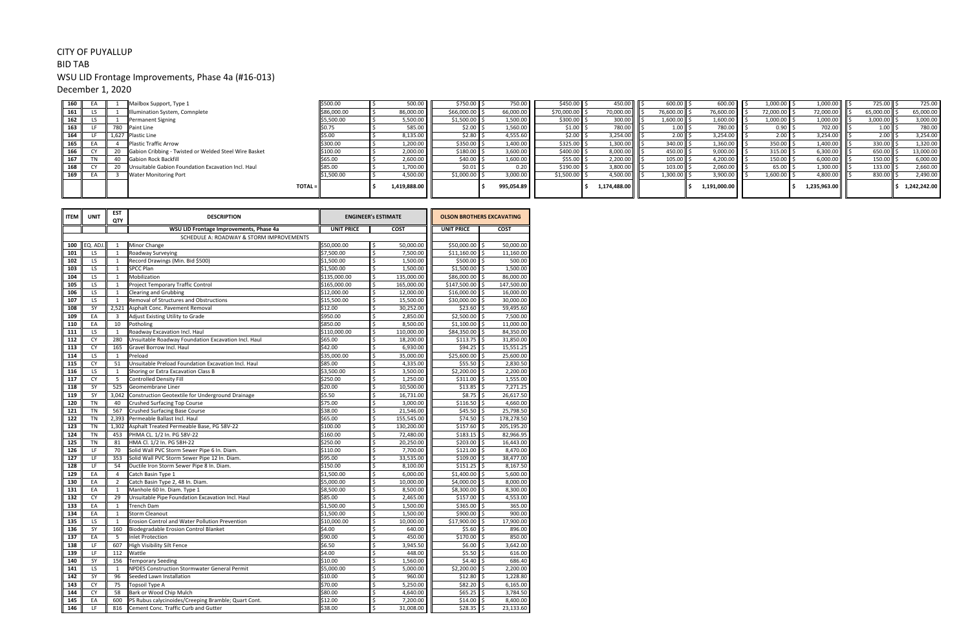## CITY OF PUYALLUP

BID TAB

# WSU LID Frontage Improvements, Phase 4a (#16-013)

December 1, 2020

| 160   |  | Mailbox Support, Type 1                               | \$500.00    | 500.00       | \$750.00 \$          | 750.00     | $$450.00$ \$               | 450.00       | 600.00        | 600.00       | $1,000.00$ \$ | $1,000.00$ \$               | 725.00 \$          | 725.00       |
|-------|--|-------------------------------------------------------|-------------|--------------|----------------------|------------|----------------------------|--------------|---------------|--------------|---------------|-----------------------------|--------------------|--------------|
| 161   |  | Illumination System, Comnplete                        | \$86,000.00 | 86,000.00    | $$66,000.00$ $$$     | 66,000.00  | \$70,000.00                | 70,000.00    | $76,600.00$ , | 76,600.00    | 72,000.00 \$  | 72,000.00 ┃ ┃ ͺ             | 65,000.00          | 65,000.00    |
| 162   |  | Permanent Signing                                     | \$5,500.00  | 5,500.00     | \$1,500.00           | 1,500.00   | $$300.00$ \ \$             | 300.00       | 1,600.00      | 1,600.00     | $1,000.00$ \$ | $1,000.00$ \$               | $3,000.00$ \$      | 3,000.00     |
| 163   |  | <b>I</b> Paint Line                                   |             | 585.00       | $$2.00$ S            | 1,560.00   | $$1.00$ \ \$               | 780.00       | 1.00          | 780.00       | $0.90$ \$     | 702.00       9              | $1.00 \, \text{S}$ | 780.00       |
| 164   |  | 1,627 Plastic Line                                    | \$5.00      | 8,135.00     | $$2.80$ $$$          | 4,555.60   | $$2.00$ $ $                | 3,254.00     | 2.00          | 3,254.00     | $2.00$ \$     |                             | $2.00$   \$        | 3,254.00     |
| 165   |  | <b>Plastic Traffic Arrow</b>                          | \$300.00    | 1,200.00     | \$350.00 S           | 1,400.00   | \$325.00                   | 1,300.00     | 340.00        | 1,360.00     | $350.00$ \$   | $1,400.00$ $\parallel$ \$   | $330.00$ \$        | 1,320.00     |
| 166   |  | Gabion Cribbing - Twisted or Welded Steel Wire Basket | \$100.00    | 2,000.00     | $$180.00$ \          | 3,600.00   | \$400.00                   | 8,000.00     | 450.00        | 9,000.00     | $315.00$ \$   | 6,300.00                    | 650.00             | 13,000.00    |
| 167 I |  | <b>Gabion Rock Backfill</b>                           | \$65.00     | 2,600.00     | $$40.00$ \           | 1,600.00   | $$55.00$ \ \$              | 2,200.00     | 105.00        | 4,200.00     | $150.00$ \$   | 6,000.00                    | $150.00$ \ \$      | 6,000.00     |
| 168   |  | Unsuitable Gabion Foundation Excavation Incl. Haul    | \$85.00     | 1,700.00     | $$0.01$ $\sqrt{5}$   | 0.20       | $$190.00$ $ $              | 3,800.00     | 103.00        | 2,060.00     | 65.00         | $1,300.00$ $\frac{3}{2}$    | 133.00             | 2,660.00     |
| 169   |  | <b>Water Monitoring Port</b>                          | \$1,500.00  | 4,500.00     | $$1,000.00$ $\mid$ 3 | 3,000.00   | $$1,500.00$ $\parallel$ \$ | 4,500.00     | 1,300.00      | 3,900.00     | $1,600.00$ \$ | $4,800.00$   $\parallel$ \$ | 830.00             | 2,490.00     |
|       |  |                                                       | TOTAL =     | 1,419,888.00 |                      | 995,054.89 |                            | 1,174,488.00 |               | 1,191,000.00 |               | 1,235,963.00                |                    | 1.242.242.00 |

| <b>ITEM</b> | <b>UNIT</b> | <b>EST</b><br>QTY | <b>DESCRIPTION</b>                                  | <b>ENGINEER's ESTIMATE</b> |    |             |                   | <b>OLSON BROTHERS EXCAVATING</b> |             |  |
|-------------|-------------|-------------------|-----------------------------------------------------|----------------------------|----|-------------|-------------------|----------------------------------|-------------|--|
|             |             |                   | WSU LID Frontage Improvements, Phase 4a             | <b>UNIT PRICE</b>          |    | <b>COST</b> | <b>UNIT PRICE</b> |                                  | <b>COST</b> |  |
|             |             |                   | SCHEDULE A: ROADWAY & STORM IMPROVEMENTS            |                            |    |             |                   |                                  |             |  |
| 100         | EQ. ADJ     | $\mathbf{1}$      | Minor Change                                        | \$50,000.00                | \$ | 50.000.00   | \$50,000.00       | ll \$                            | 50.000.00   |  |
| 101         | LS          | $\mathbf{1}$      | Roadway Surveying                                   | \$7,500.00                 | \$ | 7,500.00    | \$11,160.00       | \$                               | 11,160.00   |  |
| 102         | LS          | $\mathbf{1}$      | Record Drawings (Min. Bid \$500)                    | \$1,500.00                 | \$ | 1,500.00    | $$500.00$ \$      |                                  | 500.00      |  |
| 103         | LS          | $\mathbf{1}$      | <b>SPCC Plan</b>                                    | \$1,500.00                 | \$ | 1,500.00    | $$1,500.00$ \$    |                                  | 1,500.00    |  |
| 104         | LS          | $\mathbf{1}$      | Mobilization                                        | \$135,000.00               | \$ | 135,000.00  | \$86,000.00 \$    |                                  | 86,000.00   |  |
| 105         | <b>LS</b>   | $\mathbf{1}$      | Project Temporary Traffic Control                   | \$165,000.00               | \$ | 165,000.00  | \$147,500.00 \$   |                                  | 147,500.00  |  |
| 106         | <b>LS</b>   | $\mathbf{1}$      | <b>Clearing and Grubbing</b>                        | \$12,000.00                | \$ | 12,000.00   | \$16,000.00       | ll \$                            | 16,000.00   |  |
| 107         | LS          | $1\,$             | Removal of Structures and Obstructions              | \$15,500.00                | \$ | 15,500.00   | \$30,000.00 \$    |                                  | 30,000.00   |  |
| 108         | SY          | 2,521             | Asphalt Conc. Pavement Removal                      | \$12.00                    | \$ | 30,252.00   | \$23.60           | \$                               | 59,495.60   |  |
| 109         | EA          | 3                 | Adjust Existing Utility to Grade                    | \$950.00                   | \$ | 2,850.00    | $$2,500.00$ \$    |                                  | 7,500.00    |  |
| 110         | EA          | 10                | Potholing                                           | \$850.00                   | \$ | 8,500.00    | $$1,100.00$ \$    |                                  | 11,000.00   |  |
| 111         | LS          | $\mathbf{1}$      | Roadway Excavation Incl. Haul                       | \$110,000.00               | \$ | 110,000.00  | \$84,350.00 \$    |                                  | 84,350.00   |  |
| 112         | <b>CY</b>   | 280               | Unsuitable Roadway Foundation Excavation Incl. Haul | \$65.00                    | \$ | 18,200.00   | \$113.75          | \$                               | 31,850.00   |  |
| 113         | <b>CY</b>   | 165               | Gravel Borrow Incl. Haul                            | \$42.00                    | \$ | 6,930.00    | $$94.25$ \$       |                                  | 15,551.25   |  |
| 114         | LS          | $\mathbf{1}$      | Preload                                             | \$35,000.00                | \$ | 35,000.00   | \$25,600.00       | \$                               | 25,600.00   |  |
| 115         | <b>CY</b>   | 51                | Unsuitable Preload Foundation Excavation Incl. Haul | \$85.00                    | \$ | 4,335.00    | \$55.50           | \$                               | 2,830.50    |  |
| 116         | LS          | $\mathbf 1$       | Shoring or Extra Excavation Class B                 | \$3,500.00                 | \$ | 3,500.00    | \$2,200.00        | \$                               | 2,200.00    |  |
| 117         | <b>CY</b>   | 5                 | Controlled Density Fill                             | \$250.00                   | \$ | 1,250.00    | $$311.00$ \$      |                                  | 1,555.00    |  |
| 118         | SY          | 525               | Geomembrane Liner                                   | \$20.00                    | \$ | 10,500.00   | \$13.85           | \$                               | 7,271.25    |  |
| 119         | SY          | 3,042             | Construction Geotextile for Underground Drainage    | \$5.50                     | \$ | 16,731.00   | \$8.75            | \$                               | 26,617.50   |  |
| 120         | <b>TN</b>   | 40                | <b>Crushed Surfacing Top Course</b>                 | \$75.00                    | \$ | 3,000.00    | \$116.50          | \$                               | 4,660.00    |  |
| 121         | <b>TN</b>   | 567               | <b>Crushed Surfacing Base Course</b>                | \$38.00                    | \$ | 21,546.00   | \$45.50           | \$                               | 25,798.50   |  |
| 122         | <b>TN</b>   | 2,393             | Permeable Ballast Incl. Haul                        | \$65.00                    | \$ | 155,545.00  | $$74.50$ \$       |                                  | 178,278.50  |  |
| 123         | <b>TN</b>   | 1.302             | Asphalt Treated Permeable Base, PG 58V-22           | \$100.00                   | \$ | 130,200.00  | $$157.60$ \$      |                                  | 205,195.20  |  |
| 124         | <b>TN</b>   | 453               | PHMA CL. 1/2 In. PG 58V-22                          | \$160.00                   | \$ | 72,480.00   | $$183.15$ \$      |                                  | 82,966.95   |  |
| 125         | <b>TN</b>   | 81                | HMA Cl. 1/2 In. PG 58H-22                           | \$250.00                   | \$ | 20,250.00   | \$203.00          | \$                               | 16,443.00   |  |
| 126         | LF          | 70                | Solid Wall PVC Storm Sewer Pipe 6 In. Diam.         | \$110.00                   | \$ | 7,700.00    | $$121.00$ \$      |                                  | 8,470.00    |  |
| 127         | LF          | 353               | Solid Wall PVC Storm Sewer Pipe 12 In. Diam.        | \$95.00                    | \$ | 33,535.00   | \$109.00          | \$                               | 38,477.00   |  |
| 128         | LF          | 54                | Ductile Iron Storm Sewer Pipe 8 In. Diam.           | \$150.00                   | \$ | 8,100.00    | \$151.25          | \$                               | 8,167.50    |  |
| 129         | EA          | $\overline{4}$    | Catch Basin Type 1                                  | \$1,500.00                 | \$ | 6,000.00    | \$1,400.00        | \$                               | 5,600.00    |  |
| 130         | EA          | $\overline{2}$    | Catch Basin Type 2, 48 In. Diam.                    | \$5,000.00                 | \$ | 10,000.00   | \$4,000.00        | \$                               | 8,000.00    |  |
| 131         | EA          | $\mathbf 1$       | Manhole 60 In. Diam. Type 1                         | \$8,500.00                 | \$ | 8,500.00    | \$8,300.00        | \$                               | 8,300.00    |  |
| 132         | <b>CY</b>   | 29                | Unsuitable Pipe Foundation Excavation Incl. Haul    | \$85.00                    | \$ | 2,465.00    | \$157.00          | \$                               | 4,553.00    |  |
| 133         | EA          | $1\,$             | <b>Trench Dam</b>                                   | \$1,500.00                 | \$ | 1,500.00    | $$365.00$ \$      |                                  | 365.00      |  |
| 134         | EA          | $\mathbf{1}$      | <b>Storm Cleanout</b>                               | \$1,500.00                 | \$ | 1,500.00    | $$900.00$ \$      |                                  | 900.00      |  |
| 135         | LS          | $\mathbf{1}$      | Erosion Control and Water Pollution Prevention      | \$10,000.00                | \$ | 10,000.00   | \$17,900.00       | \$                               | 17,900.00   |  |
| 136         | SY          | 160               | Biodegradable Erosion Control Blanket               | \$4.00                     | \$ | 640.00      | \$5.60            | \$                               | 896.00      |  |
| 137         | EA          | 5                 | <b>Inlet Protection</b>                             | \$90.00                    | \$ | 450.00      | $$170.00$ \$      |                                  | 850.00      |  |
| 138         | LF          | 607               | High Visibility Silt Fence                          | \$6.50                     | \$ | 3,945.50    | \$6.00            | Ś                                | 3,642.00    |  |
| 139         | LF          | 112               | Wattle                                              | \$4.00                     | \$ | 448.00      | \$5.50            | \$                               | 616.00      |  |
| 140         | SY          | 156               | <b>Temporary Seeding</b>                            | \$10.00                    | \$ | 1,560.00    | \$4.40            | \$                               | 686.40      |  |
| 141         | LS          | $\mathbf{1}$      | NPDES Construction Stormwater General Permit        | \$5,000.00                 | \$ | 5,000.00    | $$2,200.00$ \$    |                                  | 2,200.00    |  |
| 142         | SY          | 96                | Seeded Lawn Installation                            | \$10.00                    | \$ | 960.00      | \$12.80           | \$                               | 1,228.80    |  |
| 143         | CY          | 75                |                                                     | \$70.00                    | \$ | 5,250.00    | \$82.20           | \$                               | 6,165.00    |  |
| 144         | <b>CY</b>   | 58                | Topsoil Type A<br>Bark or Wood Chip Mulch           | \$80.00                    | \$ | 4,640.00    | \$65.25           | \$                               | 3,784.50    |  |
| 145         | EA          | 600               | PS Rubus calycinoides/Creeping Bramble; Quart Cont. | \$12.00                    | \$ | 7,200.00    | $$14.00$ \$       |                                  | 8,400.00    |  |
| 146         | LF          | 816               | Cement Conc. Traffic Curb and Gutter                | \$38.00                    | \$ | 31,008.00   | $$28.35$ \$       |                                  | 23,133.60   |  |
|             |             |                   |                                                     |                            |    |             |                   |                                  |             |  |